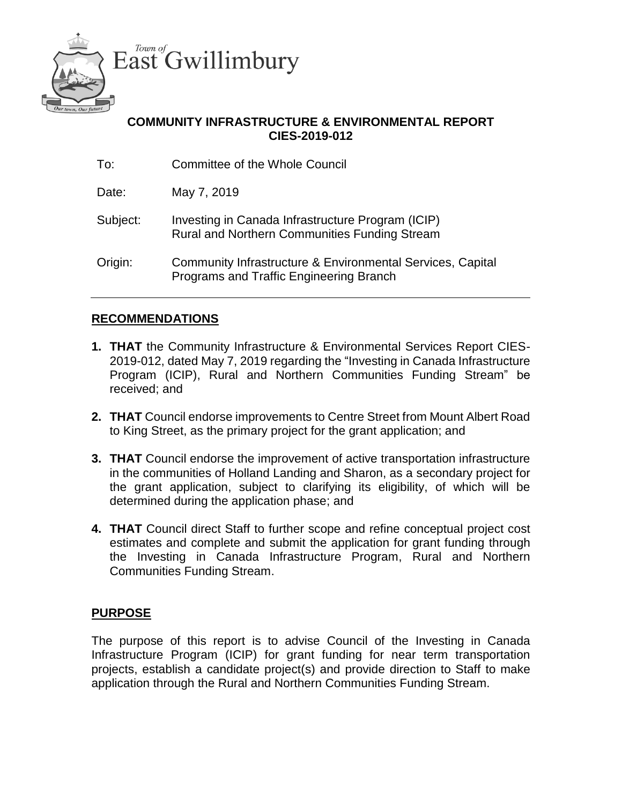

# **COMMUNITY INFRASTRUCTURE & ENVIRONMENTAL REPORT CIES-2019-012**

| To:      | <b>Committee of the Whole Council</b>                                                                 |
|----------|-------------------------------------------------------------------------------------------------------|
| Date:    | May 7, 2019                                                                                           |
| Subject: | Investing in Canada Infrastructure Program (ICIP)<br>Rural and Northern Communities Funding Stream    |
| Origin:  | Community Infrastructure & Environmental Services, Capital<br>Programs and Traffic Engineering Branch |

### **RECOMMENDATIONS**

- **1. THAT** the Community Infrastructure & Environmental Services Report CIES-2019-012, dated May 7, 2019 regarding the "Investing in Canada Infrastructure Program (ICIP), Rural and Northern Communities Funding Stream" be received; and
- **2. THAT** Council endorse improvements to Centre Street from Mount Albert Road to King Street, as the primary project for the grant application; and
- **3. THAT** Council endorse the improvement of active transportation infrastructure in the communities of Holland Landing and Sharon, as a secondary project for the grant application, subject to clarifying its eligibility, of which will be determined during the application phase; and
- **4. THAT** Council direct Staff to further scope and refine conceptual project cost estimates and complete and submit the application for grant funding through the Investing in Canada Infrastructure Program, Rural and Northern Communities Funding Stream.

# **PURPOSE**

The purpose of this report is to advise Council of the Investing in Canada Infrastructure Program (ICIP) for grant funding for near term transportation projects, establish a candidate project(s) and provide direction to Staff to make application through the Rural and Northern Communities Funding Stream.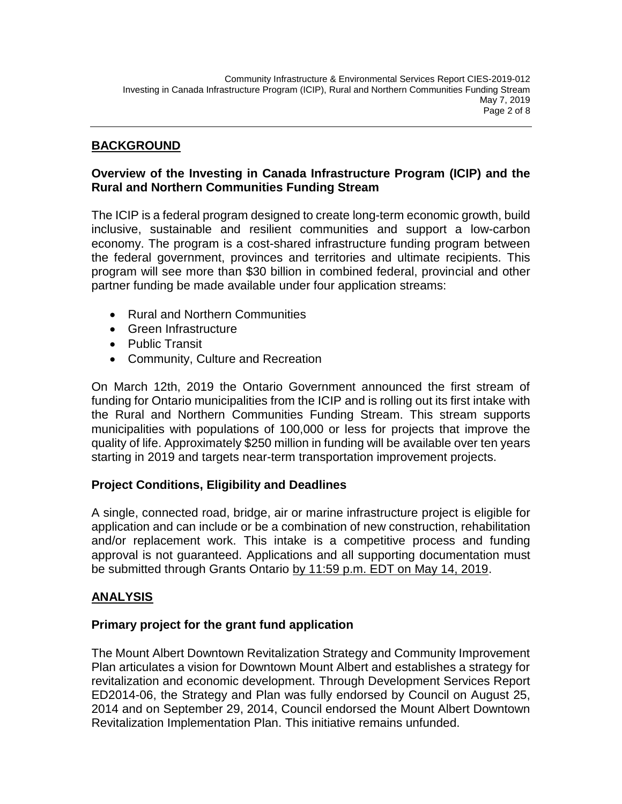### **BACKGROUND**

# **Overview of the Investing in Canada Infrastructure Program (ICIP) and the Rural and Northern Communities Funding Stream**

The ICIP is a federal program designed to create long-term economic growth, build inclusive, sustainable and resilient communities and support a low-carbon economy. The program is a cost-shared infrastructure funding program between the federal government, provinces and territories and ultimate recipients. This program will see more than \$30 billion in combined federal, provincial and other partner funding be made available under four application streams:

- Rural and Northern Communities
- Green Infrastructure
- Public Transit
- Community, Culture and Recreation

On March 12th, 2019 the Ontario Government announced the first stream of funding for Ontario municipalities from the ICIP and is rolling out its first intake with the Rural and Northern Communities Funding Stream. This stream supports municipalities with populations of 100,000 or less for projects that improve the quality of life. Approximately \$250 million in funding will be available over ten years starting in 2019 and targets near-term transportation improvement projects.

# **Project Conditions, Eligibility and Deadlines**

A single, connected road, bridge, air or marine infrastructure project is eligible for application and can include or be a combination of new construction, rehabilitation and/or replacement work. This intake is a competitive process and funding approval is not guaranteed. Applications and all supporting documentation must be submitted through Grants Ontario by 11:59 p.m. EDT on May 14, 2019.

### **ANALYSIS**

### **Primary project for the grant fund application**

The Mount Albert Downtown Revitalization Strategy and Community Improvement Plan articulates a vision for Downtown Mount Albert and establishes a strategy for revitalization and economic development. Through Development Services Report ED2014-06, the Strategy and Plan was fully endorsed by Council on August 25, 2014 and on September 29, 2014, Council endorsed the Mount Albert Downtown Revitalization Implementation Plan. This initiative remains unfunded.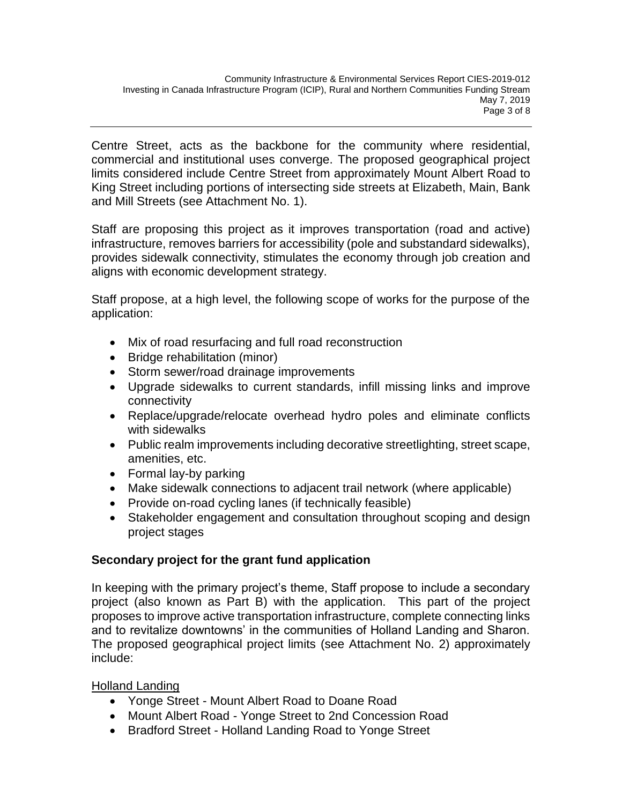Centre Street, acts as the backbone for the community where residential, commercial and institutional uses converge. The proposed geographical project limits considered include Centre Street from approximately Mount Albert Road to King Street including portions of intersecting side streets at Elizabeth, Main, Bank and Mill Streets (see Attachment No. 1).

Staff are proposing this project as it improves transportation (road and active) infrastructure, removes barriers for accessibility (pole and substandard sidewalks), provides sidewalk connectivity, stimulates the economy through job creation and aligns with economic development strategy.

Staff propose, at a high level, the following scope of works for the purpose of the application:

- Mix of road resurfacing and full road reconstruction
- Bridge rehabilitation (minor)
- Storm sewer/road drainage improvements
- Upgrade sidewalks to current standards, infill missing links and improve connectivity
- Replace/upgrade/relocate overhead hydro poles and eliminate conflicts with sidewalks
- Public realm improvements including decorative streetlighting, street scape, amenities, etc.
- Formal lay-by parking
- Make sidewalk connections to adjacent trail network (where applicable)
- Provide on-road cycling lanes (if technically feasible)
- Stakeholder engagement and consultation throughout scoping and design project stages

# **Secondary project for the grant fund application**

In keeping with the primary project's theme, Staff propose to include a secondary project (also known as Part B) with the application. This part of the project proposes to improve active transportation infrastructure, complete connecting links and to revitalize downtowns' in the communities of Holland Landing and Sharon. The proposed geographical project limits (see Attachment No. 2) approximately include:

# Holland Landing

- Yonge Street Mount Albert Road to Doane Road
- Mount Albert Road Yonge Street to 2nd Concession Road
- Bradford Street Holland Landing Road to Yonge Street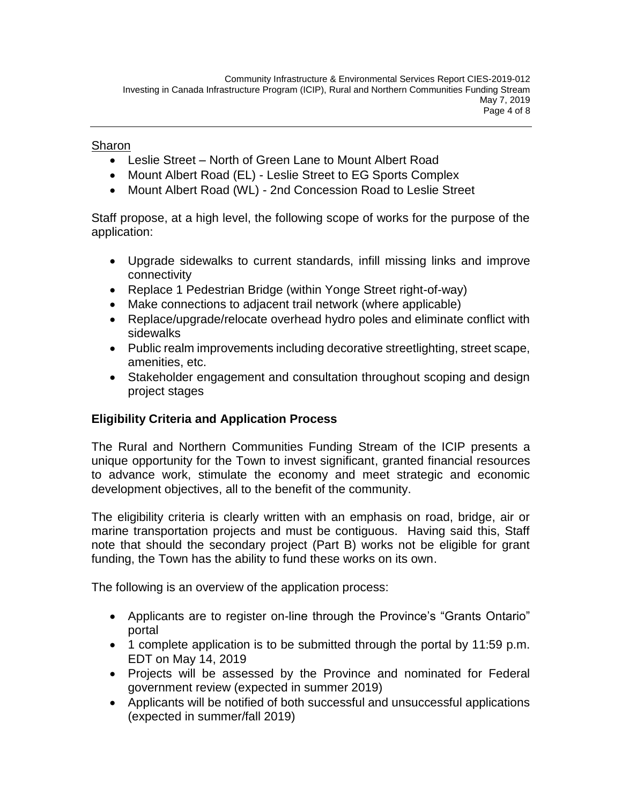### Sharon

- Leslie Street North of Green Lane to Mount Albert Road
- Mount Albert Road (EL) Leslie Street to EG Sports Complex
- Mount Albert Road (WL) 2nd Concession Road to Leslie Street

Staff propose, at a high level, the following scope of works for the purpose of the application:

- Upgrade sidewalks to current standards, infill missing links and improve connectivity
- Replace 1 Pedestrian Bridge (within Yonge Street right-of-way)
- Make connections to adjacent trail network (where applicable)
- Replace/upgrade/relocate overhead hydro poles and eliminate conflict with sidewalks
- Public realm improvements including decorative streetlighting, street scape, amenities, etc.
- Stakeholder engagement and consultation throughout scoping and design project stages

# **Eligibility Criteria and Application Process**

The Rural and Northern Communities Funding Stream of the ICIP presents a unique opportunity for the Town to invest significant, granted financial resources to advance work, stimulate the economy and meet strategic and economic development objectives, all to the benefit of the community.

The eligibility criteria is clearly written with an emphasis on road, bridge, air or marine transportation projects and must be contiguous. Having said this, Staff note that should the secondary project (Part B) works not be eligible for grant funding, the Town has the ability to fund these works on its own.

The following is an overview of the application process:

- Applicants are to register on-line through the Province's "Grants Ontario" portal
- 1 complete application is to be submitted through the portal by 11:59 p.m. EDT on May 14, 2019
- Projects will be assessed by the Province and nominated for Federal government review (expected in summer 2019)
- Applicants will be notified of both successful and unsuccessful applications (expected in summer/fall 2019)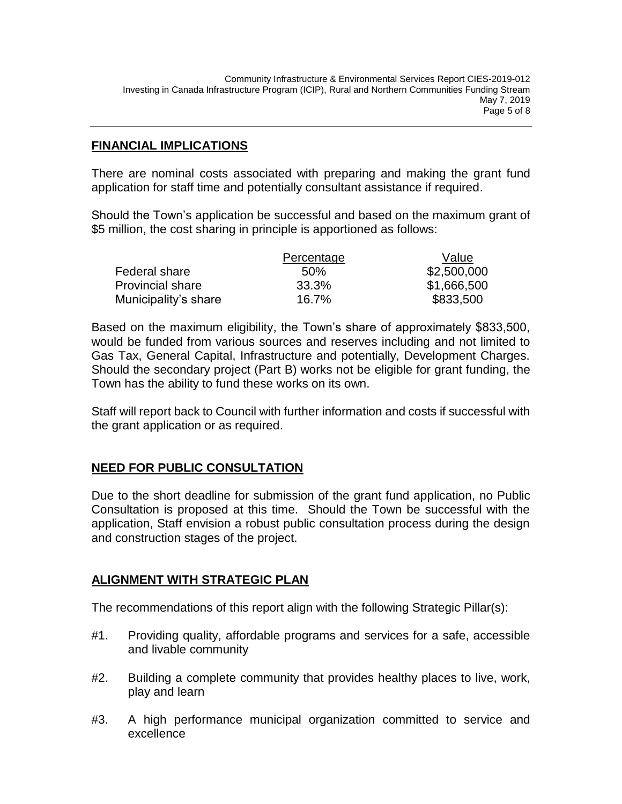### **FINANCIAL IMPLICATIONS**

There are nominal costs associated with preparing and making the grant fund application for staff time and potentially consultant assistance if required.

Should the Town's application be successful and based on the maximum grant of \$5 million, the cost sharing in principle is apportioned as follows:

|                         | Percentage | Value       |
|-------------------------|------------|-------------|
| Federal share           | .50%       | \$2,500,000 |
| <b>Provincial share</b> | 33.3%      | \$1,666,500 |
| Municipality's share    | 16.7%      | \$833,500   |

Based on the maximum eligibility, the Town's share of approximately \$833,500, would be funded from various sources and reserves including and not limited to Gas Tax, General Capital, Infrastructure and potentially, Development Charges. Should the secondary project (Part B) works not be eligible for grant funding, the Town has the ability to fund these works on its own.

Staff will report back to Council with further information and costs if successful with the grant application or as required.

### **NEED FOR PUBLIC CONSULTATION**

Due to the short deadline for submission of the grant fund application, no Public Consultation is proposed at this time. Should the Town be successful with the application, Staff envision a robust public consultation process during the design and construction stages of the project.

### **ALIGNMENT WITH STRATEGIC PLAN**

The recommendations of this report align with the following Strategic Pillar(s):

- #1. Providing quality, affordable programs and services for a safe, accessible and livable community
- #2. Building a complete community that provides healthy places to live, work, play and learn
- #3. A high performance municipal organization committed to service and excellence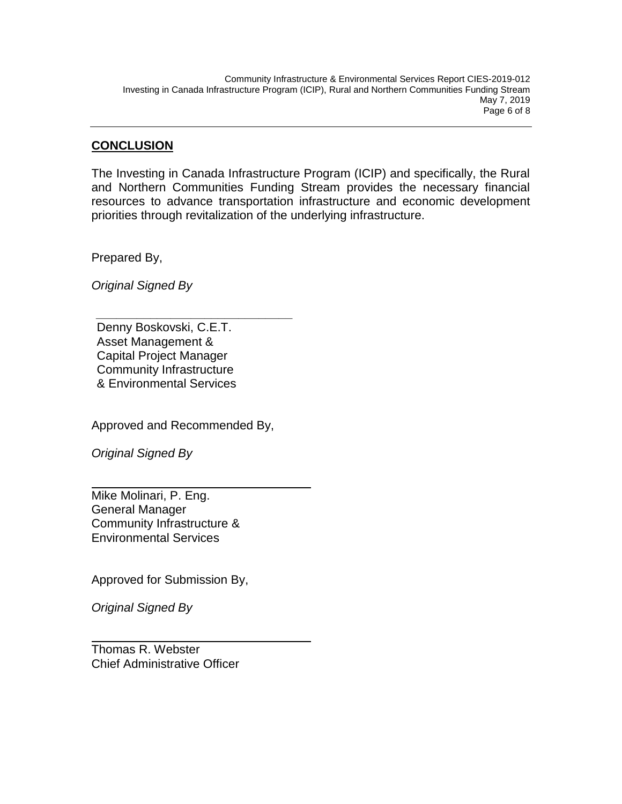### **CONCLUSION**

The Investing in Canada Infrastructure Program (ICIP) and specifically, the Rural and Northern Communities Funding Stream provides the necessary financial resources to advance transportation infrastructure and economic development priorities through revitalization of the underlying infrastructure.

Prepared By,

*Original Signed By*

Denny Boskovski, C.E.T. Asset Management & Capital Project Manager Community Infrastructure & Environmental Services

*\_\_\_\_\_\_\_\_\_\_\_\_\_\_\_\_\_\_\_\_\_\_\_\_\_\_\_\_\_*

Approved and Recommended By,

*Original Signed By*

Mike Molinari, P. Eng. General Manager Community Infrastructure & Environmental Services

Approved for Submission By,

*Original Signed By*

Thomas R. Webster Chief Administrative Officer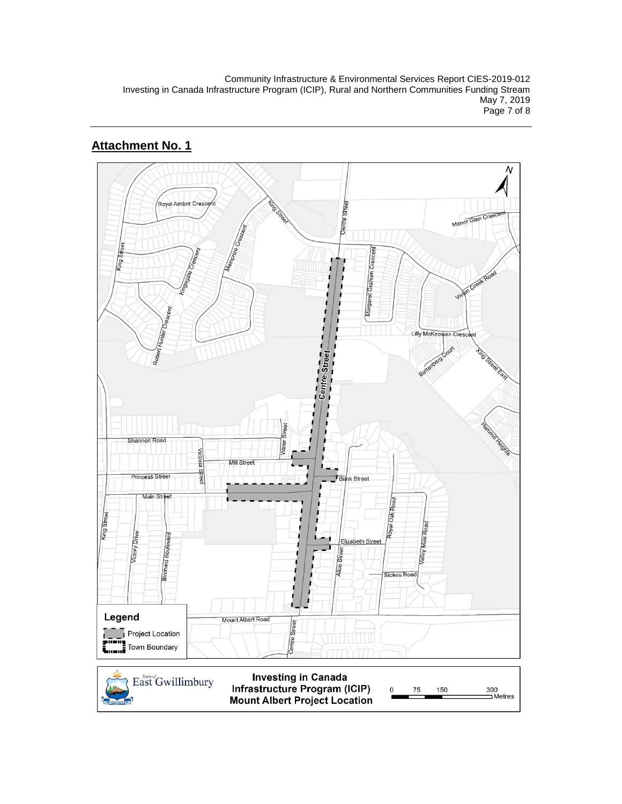Community Infrastructure & Environmental Services Report CIES-2019-012 Investing in Canada Infrastructure Program (ICIP), Rural and Northern Communities Funding Stream May 7, 2019 Page 7 of 8

# **Attachment No. 1**